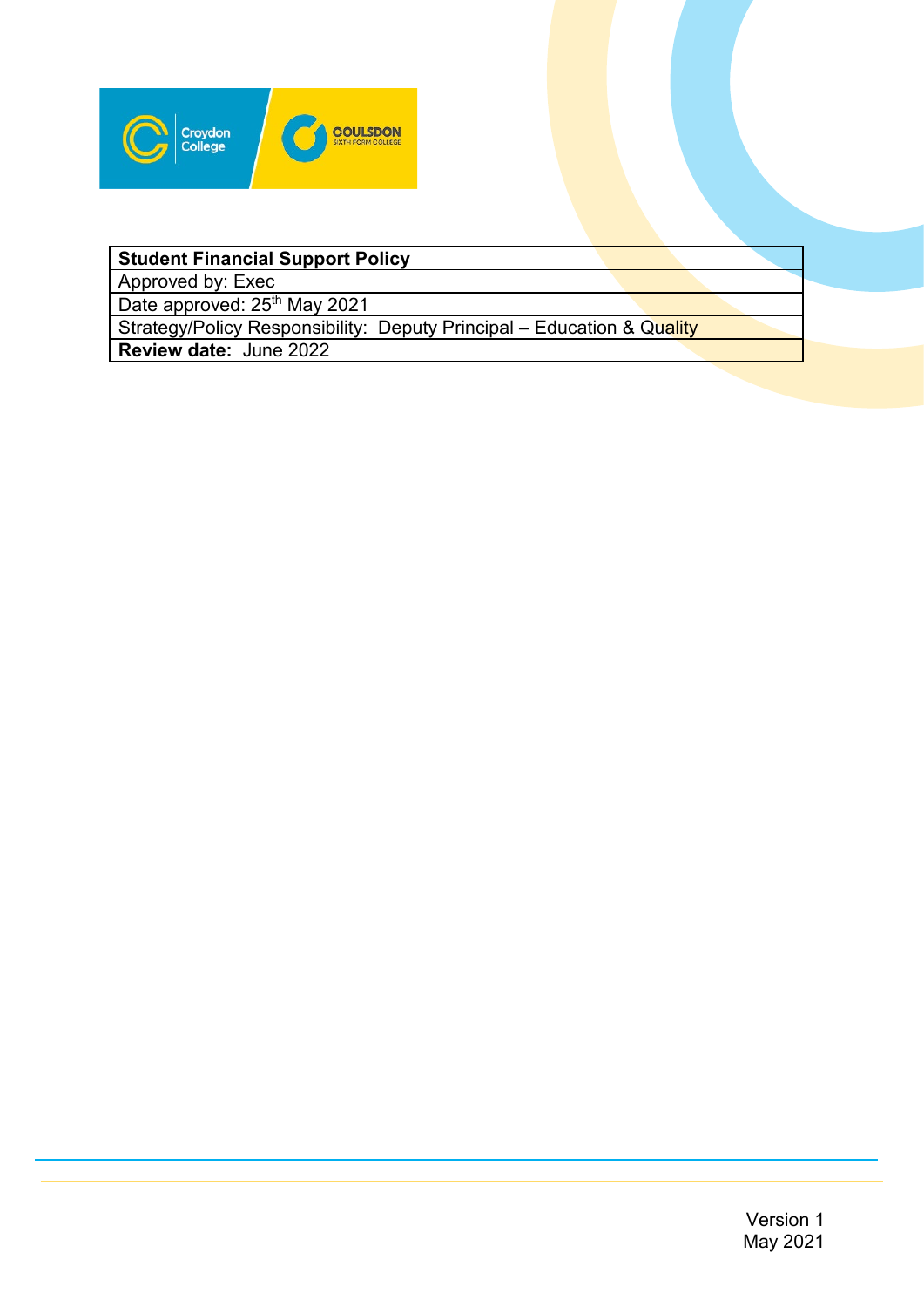

# **Student Financial Support Policy**

Approved by: Exec

Date approved: 25<sup>th</sup> May 2021

Strategy/Policy Responsibility: Deputy Principal – Education & Quality

**Review date:** June 2022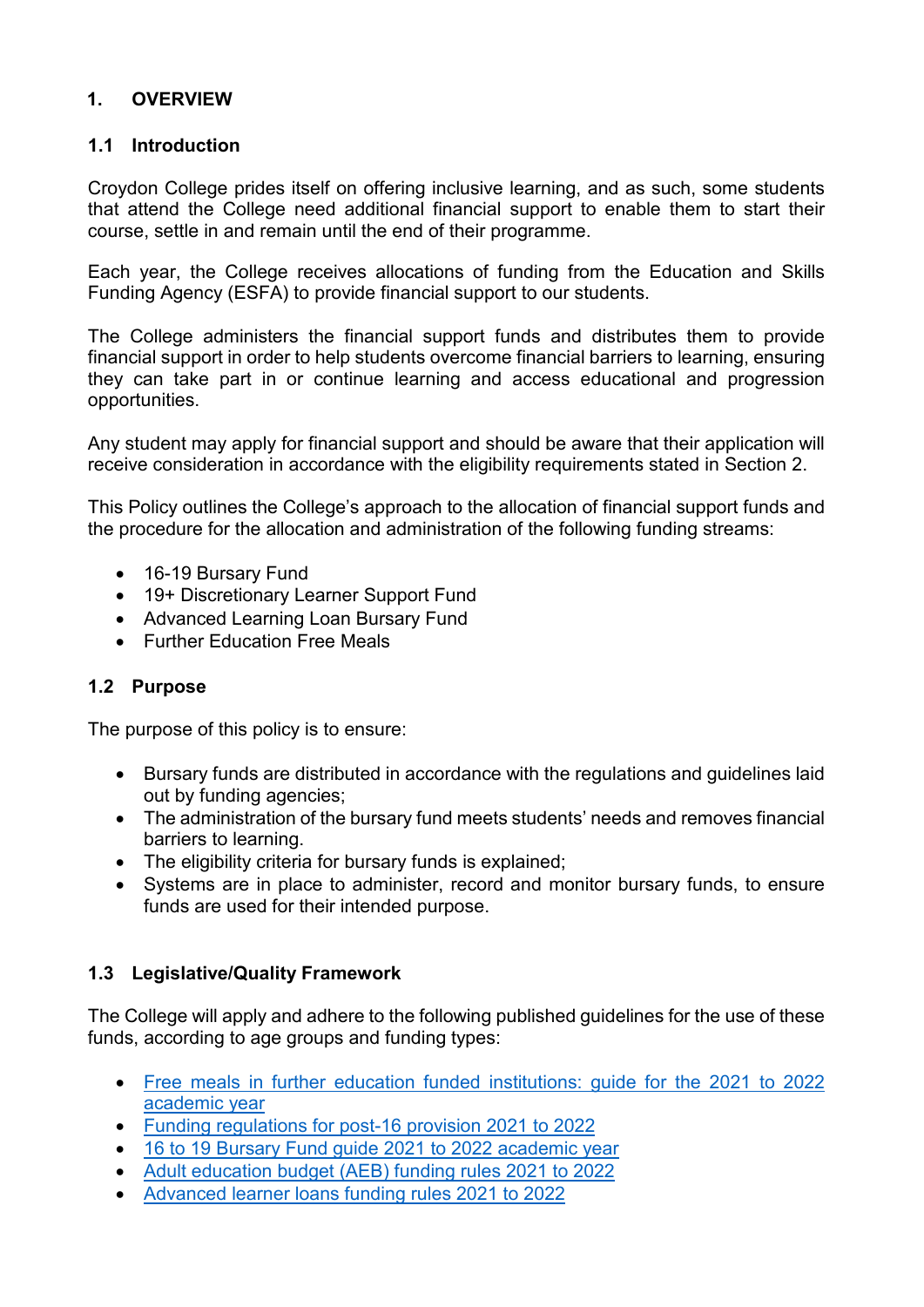## **1. OVERVIEW**

### **1.1 Introduction**

Croydon College prides itself on offering inclusive learning, and as such, some students that attend the College need additional financial support to enable them to start their course, settle in and remain until the end of their programme.

Each year, the College receives allocations of funding from the Education and Skills Funding Agency (ESFA) to provide financial support to our students.

The College administers the financial support funds and distributes them to provide financial support in order to help students overcome financial barriers to learning, ensuring they can take part in or continue learning and access educational and progression opportunities.

Any student may apply for financial support and should be aware that their application will receive consideration in accordance with the eligibility requirements stated in Section 2.

This Policy outlines the College's approach to the allocation of financial support funds and the procedure for the allocation and administration of the following funding streams:

- 16-19 Bursary Fund
- 19+ Discretionary Learner Support Fund
- Advanced Learning Loan Bursary Fund
- Further Education Free Meals

## **1.2 Purpose**

The purpose of this policy is to ensure:

- Bursary funds are distributed in accordance with the regulations and guidelines laid out by funding agencies;
- The administration of the bursary fund meets students' needs and removes financial barriers to learning.
- The eligibility criteria for bursary funds is explained;
- Systems are in place to administer, record and monitor bursary funds, to ensure funds are used for their intended purpose.

## **1.3 Legislative/Quality Framework**

The College will apply and adhere to the following published guidelines for the use of these funds, according to age groups and funding types:

- [Free meals in further education funded institutions: guide for the 2021 to 2022](https://www.gov.uk/guidance/free-meals-in-further-education-funded-institutions-guide-for-the-2021-to-2022-academic-year)  [academic year](https://www.gov.uk/guidance/free-meals-in-further-education-funded-institutions-guide-for-the-2021-to-2022-academic-year)
- [Funding regulations for post-16 provision 2021 to 2022](https://www.gov.uk/guidance/16-to-19-education-funding-guidance)
- [16 to 19 Bursary Fund guide 2021 to 2022 academic year](https://www.gov.uk/guidance/16-to-19-bursary-fund-guide-2021-to-2022-academic-year)
- [Adult education budget \(AEB\) funding rules 2021 to 2022](https://www.gov.uk/guidance/adult-education-budget-aeb-funding-rules-2021-to-2022)
- [Advanced learner loans funding rules 2021 to 2022](https://www.gov.uk/government/publications/advanced-learner-loans-funding-rules-2021-to-2022)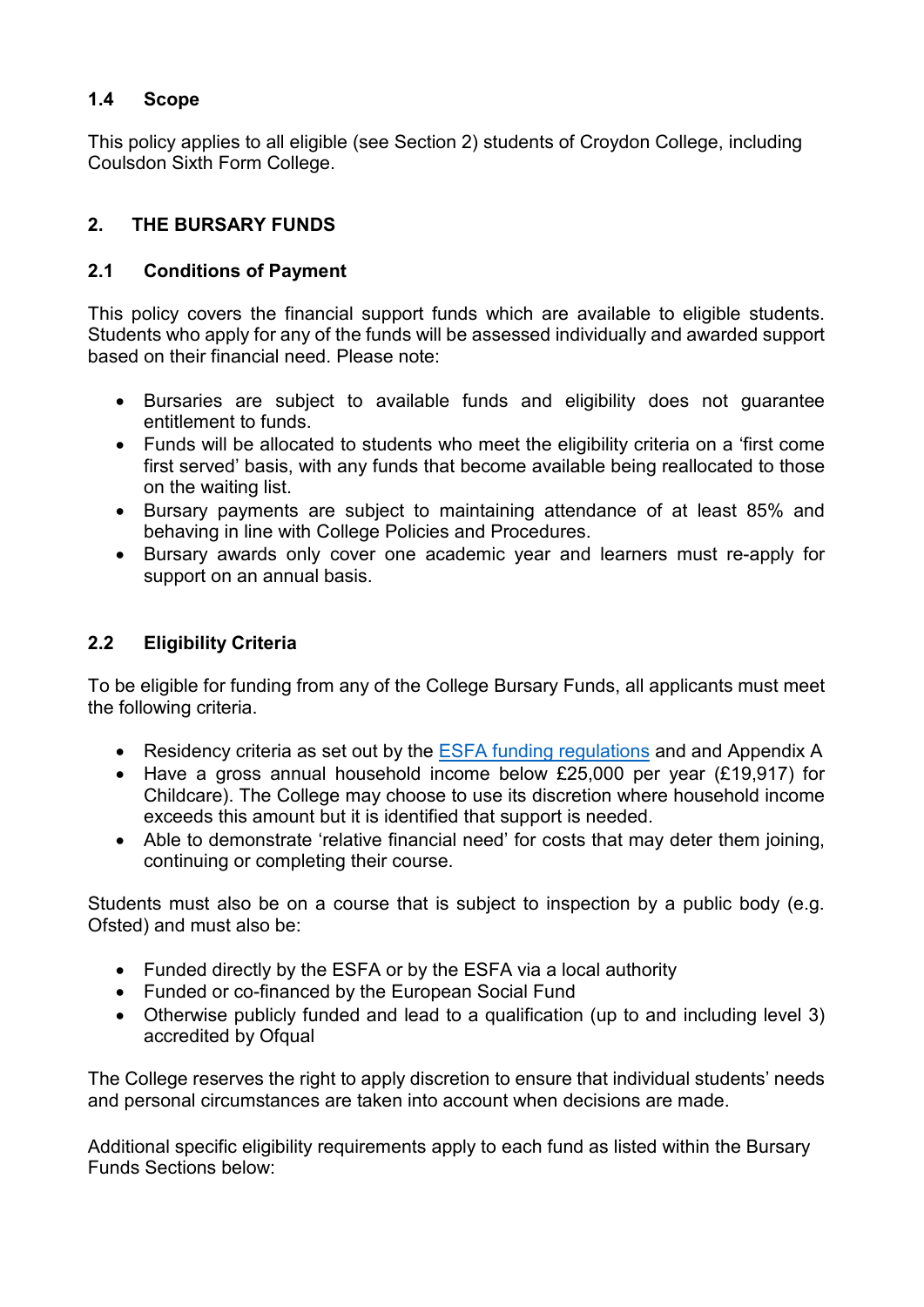## **1.4 Scope**

This policy applies to all eligible (see Section 2) students of Croydon College, including Coulsdon Sixth Form College.

## **2. THE BURSARY FUNDS**

## **2.1 Conditions of Payment**

This policy covers the financial support funds which are available to eligible students. Students who apply for any of the funds will be assessed individually and awarded support based on their financial need. Please note:

- Bursaries are subject to available funds and eligibility does not guarantee entitlement to funds.
- Funds will be allocated to students who meet the eligibility criteria on a 'first come first served' basis, with any funds that become available being reallocated to those on the waiting list.
- Bursary payments are subject to maintaining attendance of at least 85% and behaving in line with College Policies and Procedures.
- Bursary awards only cover one academic year and learners must re-apply for support on an annual basis.

## **2.2 Eligibility Criteria**

To be eligible for funding from any of the College Bursary Funds, all applicants must meet the following criteria.

- Residency criteria as set out by the [ESFA funding regulations](https://www.gov.uk/government/publications/advice-funding-regulations-for-post-16-provision) and and Appendix A
- Have a gross annual household income below £25,000 per year (£19,917) for Childcare). The College may choose to use its discretion where household income exceeds this amount but it is identified that support is needed.
- Able to demonstrate 'relative financial need' for costs that may deter them joining, continuing or completing their course.

Students must also be on a course that is subject to inspection by a public body (e.g. Ofsted) and must also be:

- Funded directly by the ESFA or by the ESFA via a local authority
- Funded or co-financed by the European Social Fund
- Otherwise publicly funded and lead to a qualification (up to and including level 3) accredited by Ofqual

The College reserves the right to apply discretion to ensure that individual students' needs and personal circumstances are taken into account when decisions are made.

Additional specific eligibility requirements apply to each fund as listed within the Bursary Funds Sections below: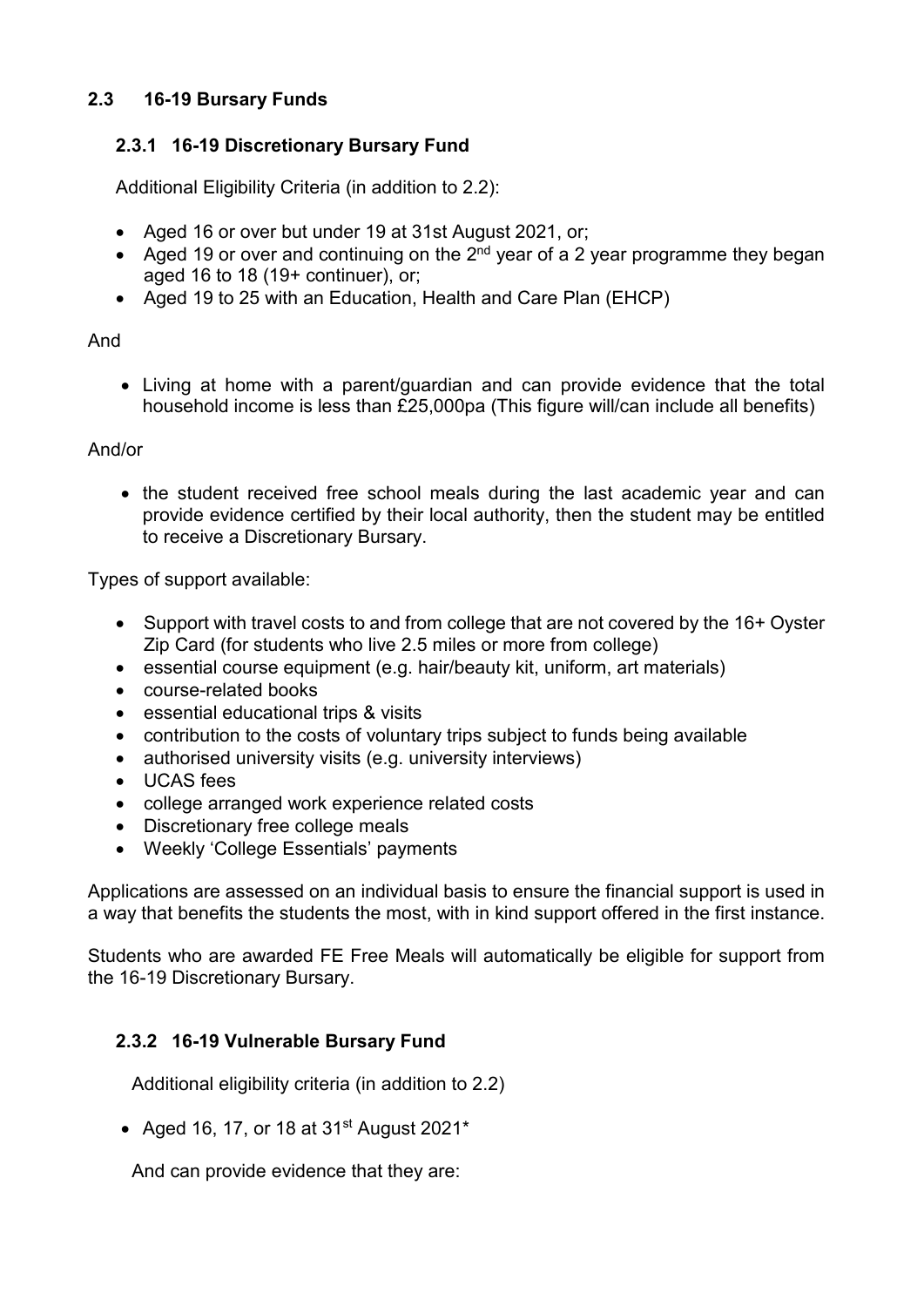## **2.3 16-19 Bursary Funds**

## **2.3.1 16-19 Discretionary Bursary Fund**

Additional Eligibility Criteria (in addition to 2.2):

- Aged 16 or over but under 19 at 31st August 2021, or;
- Aged 19 or over and continuing on the  $2^{nd}$  year of a 2 year programme they began aged 16 to 18 (19+ continuer), or;
- Aged 19 to 25 with an Education, Health and Care Plan (EHCP)

#### And

• Living at home with a parent/guardian and can provide evidence that the total household income is less than £25,000pa (This figure will/can include all benefits)

#### And/or

• the student received free school meals during the last academic year and can provide evidence certified by their local authority, then the student may be entitled to receive a Discretionary Bursary.

Types of support available:

- Support with travel costs to and from college that are not covered by the 16+ Oyster Zip Card (for students who live 2.5 miles or more from college)
- essential course equipment (e.g. hair/beauty kit, uniform, art materials)
- course-related books
- essential educational trips & visits
- contribution to the costs of voluntary trips subject to funds being available
- authorised university visits (e.g. university interviews)
- UCAS fees
- college arranged work experience related costs
- Discretionary free college meals
- Weekly 'College Essentials' payments

Applications are assessed on an individual basis to ensure the financial support is used in a way that benefits the students the most, with in kind support offered in the first instance.

Students who are awarded FE Free Meals will automatically be eligible for support from the 16-19 Discretionary Bursary.

## **2.3.2 16-19 Vulnerable Bursary Fund**

Additional eligibility criteria (in addition to 2.2)

• Aged 16, 17, or 18 at  $31<sup>st</sup>$  August 2021<sup>\*</sup>

And can provide evidence that they are: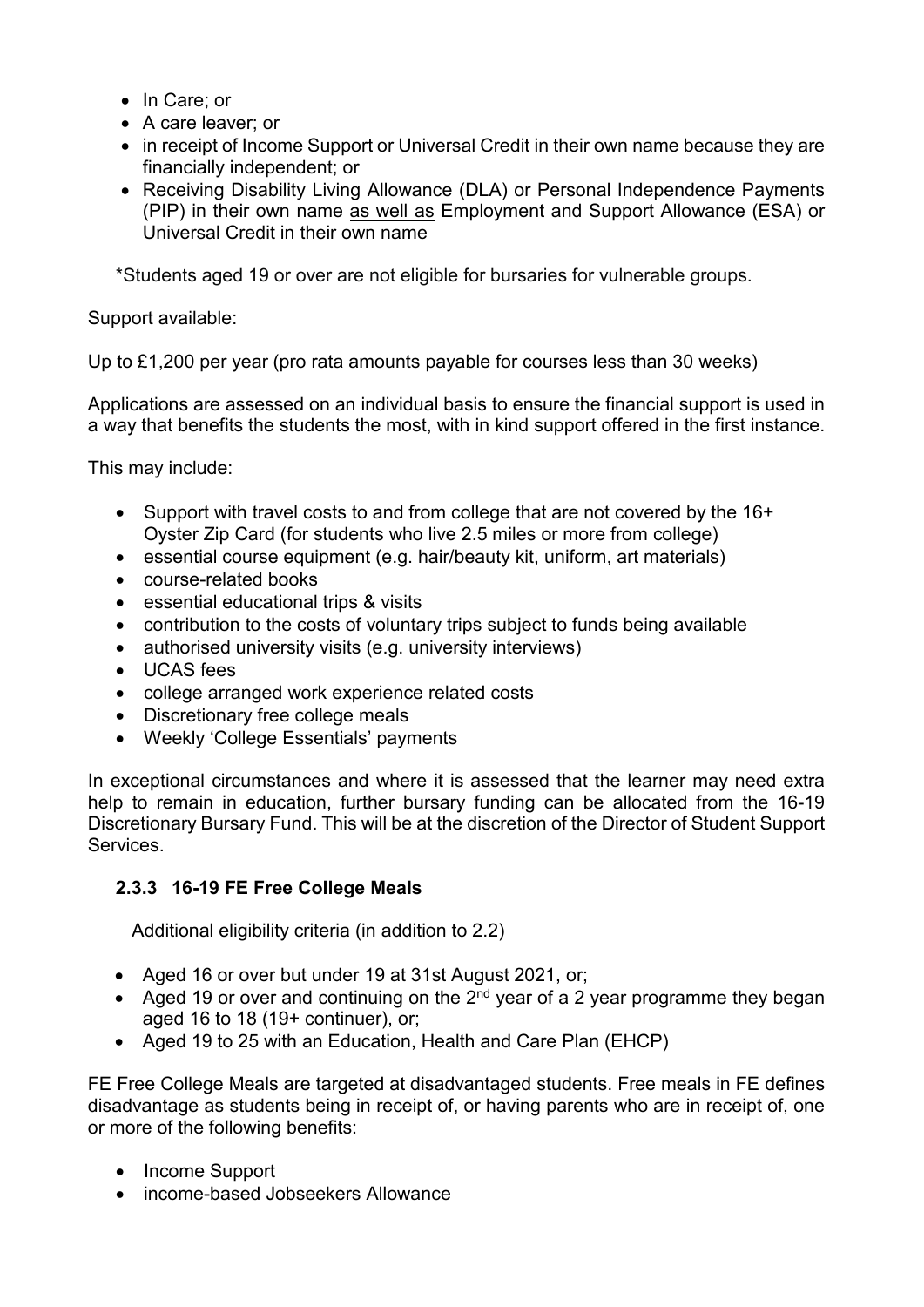- In Care; or
- A care leaver; or
- in receipt of Income Support or Universal Credit in their own name because they are financially independent; or
- Receiving Disability Living Allowance (DLA) or Personal Independence Payments (PIP) in their own name as well as Employment and Support Allowance (ESA) or Universal Credit in their own name

\*Students aged 19 or over are not eligible for bursaries for vulnerable groups.

## Support available:

Up to £1,200 per year (pro rata amounts payable for courses less than 30 weeks)

Applications are assessed on an individual basis to ensure the financial support is used in a way that benefits the students the most, with in kind support offered in the first instance.

This may include:

- Support with travel costs to and from college that are not covered by the 16+ Oyster Zip Card (for students who live 2.5 miles or more from college)
- essential course equipment (e.g. hair/beauty kit, uniform, art materials)
- course-related books
- essential educational trips & visits
- contribution to the costs of voluntary trips subject to funds being available
- authorised university visits (e.g. university interviews)
- UCAS fees
- college arranged work experience related costs
- Discretionary free college meals
- Weekly 'College Essentials' payments

In exceptional circumstances and where it is assessed that the learner may need extra help to remain in education, further bursary funding can be allocated from the 16-19 Discretionary Bursary Fund. This will be at the discretion of the Director of Student Support Services.

## **2.3.3 16-19 FE Free College Meals**

Additional eligibility criteria (in addition to 2.2)

- Aged 16 or over but under 19 at 31st August 2021, or;
- Aged 19 or over and continuing on the  $2^{nd}$  year of a 2 year programme they began aged 16 to 18 (19+ continuer), or;
- Aged 19 to 25 with an Education, Health and Care Plan (EHCP)

FE Free College Meals are targeted at disadvantaged students. Free meals in FE defines disadvantage as students being in receipt of, or having parents who are in receipt of, one or more of the following benefits:

- Income Support
- income-based Jobseekers Allowance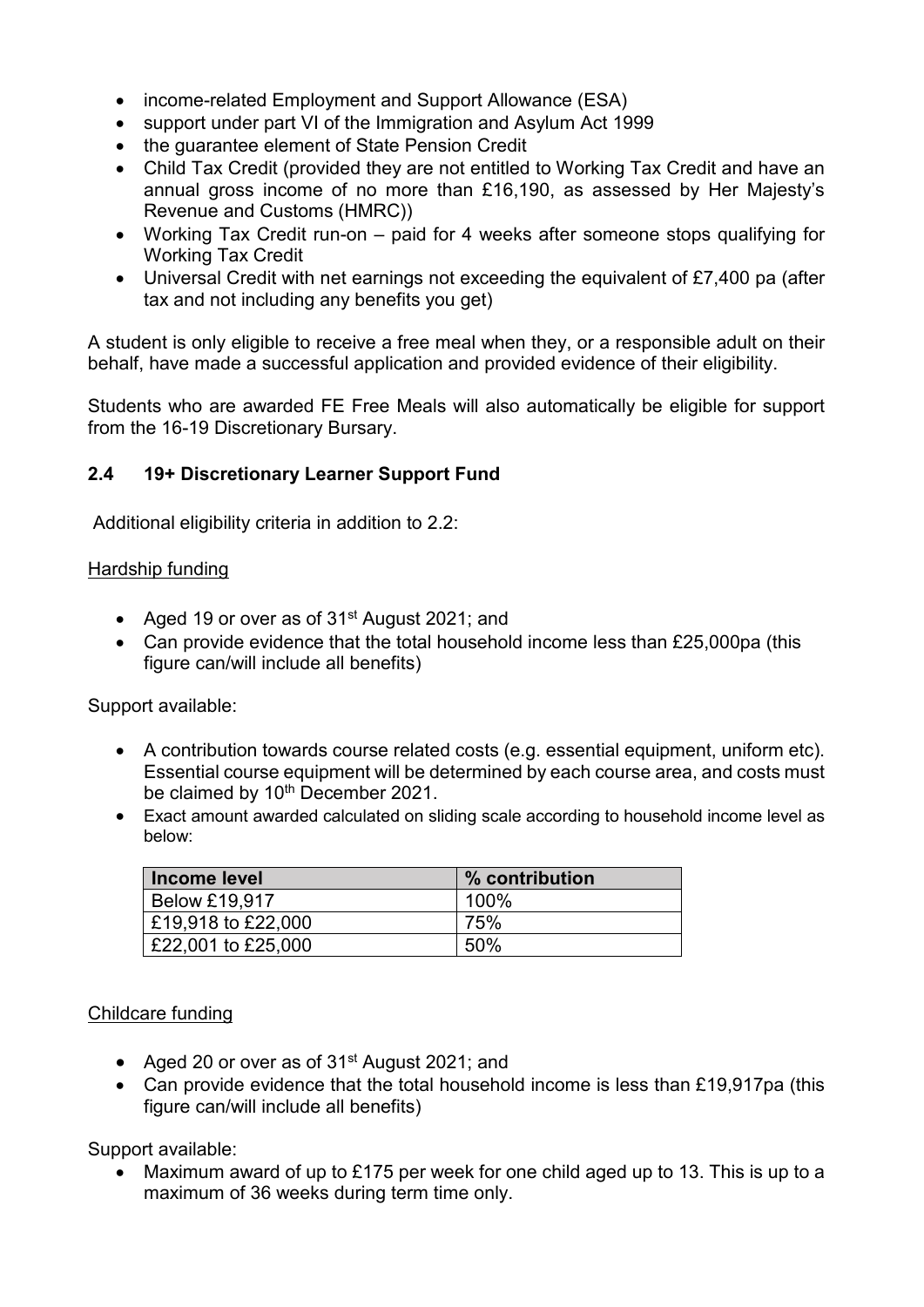- income-related Employment and Support Allowance (ESA)
- support under part VI of the Immigration and Asylum Act 1999
- the guarantee element of State Pension Credit
- Child Tax Credit (provided they are not entitled to Working Tax Credit and have an annual gross income of no more than £16,190, as assessed by Her Majesty's Revenue and Customs (HMRC))
- Working Tax Credit run-on paid for 4 weeks after someone stops qualifying for Working Tax Credit
- Universal Credit with net earnings not exceeding the equivalent of £7,400 pa (after tax and not including any benefits you get)

A student is only eligible to receive a free meal when they, or a responsible adult on their behalf, have made a successful application and provided evidence of their eligibility.

Students who are awarded FE Free Meals will also automatically be eligible for support from the 16-19 Discretionary Bursary.

## **2.4 19+ Discretionary Learner Support Fund**

Additional eligibility criteria in addition to 2.2:

#### Hardship funding

- Aged 19 or over as of 31<sup>st</sup> August 2021; and
- Can provide evidence that the total household income less than £25,000pa (this figure can/will include all benefits)

Support available:

- A contribution towards course related costs (e.g. essential equipment, uniform etc). Essential course equipment will be determined by each course area, and costs must be claimed by 10<sup>th</sup> December 2021.
- Exact amount awarded calculated on sliding scale according to household income level as below:

| Income level         | % contribution |
|----------------------|----------------|
| <b>Below £19,917</b> | 100%           |
| £19,918 to £22,000   | 75%            |
| £22,001 to £25,000   | 50%            |

#### Childcare funding

- Aged 20 or over as of 31<sup>st</sup> August 2021; and
- Can provide evidence that the total household income is less than £19,917pa (this figure can/will include all benefits)

Support available:

• Maximum award of up to £175 per week for one child aged up to 13. This is up to a maximum of 36 weeks during term time only.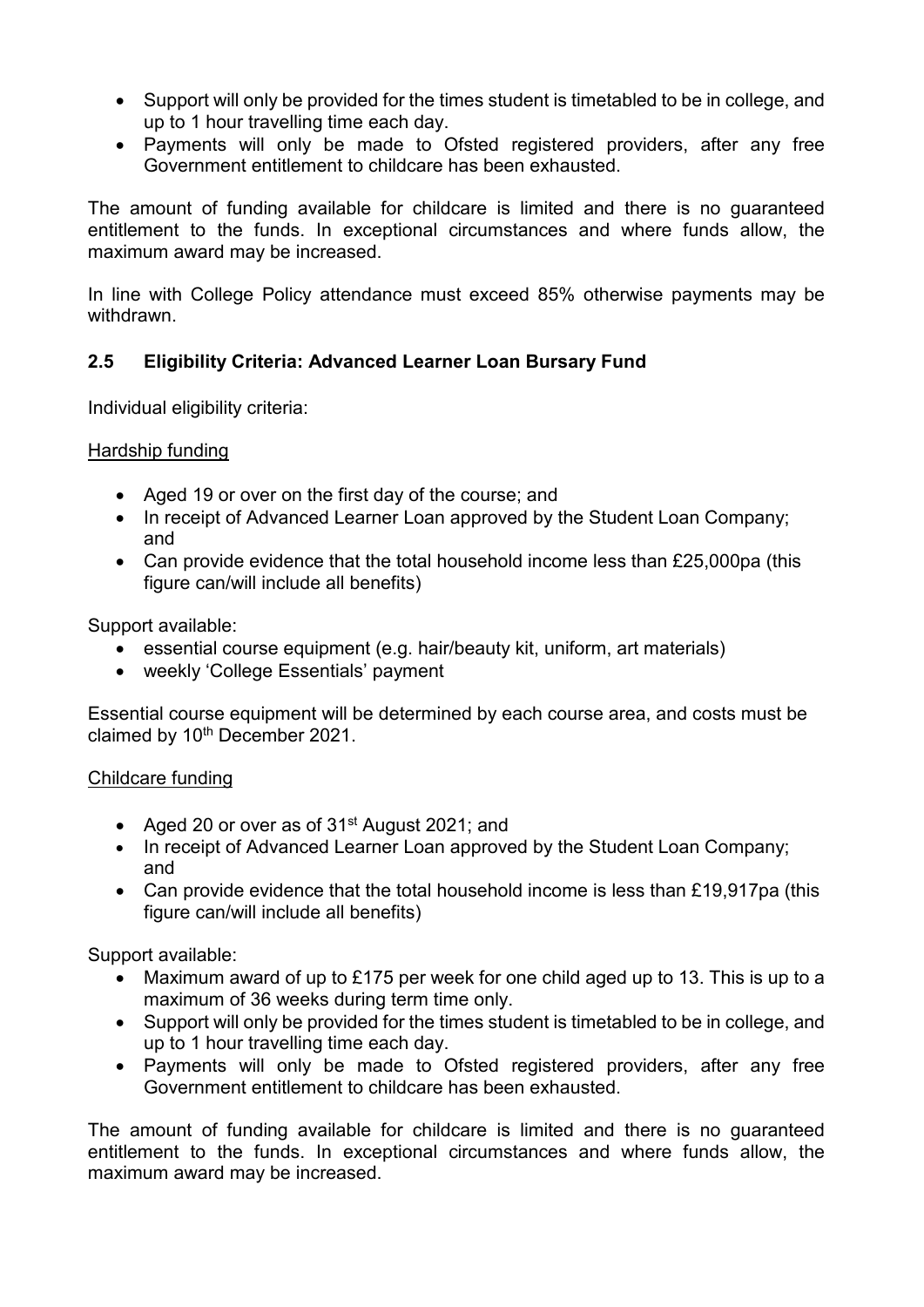- Support will only be provided for the times student is timetabled to be in college, and up to 1 hour travelling time each day.
- Payments will only be made to Ofsted registered providers, after any free Government entitlement to childcare has been exhausted.

The amount of funding available for childcare is limited and there is no guaranteed entitlement to the funds. In exceptional circumstances and where funds allow, the maximum award may be increased.

In line with College Policy attendance must exceed 85% otherwise payments may be withdrawn.

## **2.5 Eligibility Criteria: Advanced Learner Loan Bursary Fund**

Individual eligibility criteria:

Hardship funding

- Aged 19 or over on the first day of the course; and
- In receipt of Advanced Learner Loan approved by the Student Loan Company; and
- Can provide evidence that the total household income less than £25,000pa (this figure can/will include all benefits)

Support available:

- essential course equipment (e.g. hair/beauty kit, uniform, art materials)
- weekly 'College Essentials' payment

Essential course equipment will be determined by each course area, and costs must be claimed by 10<sup>th</sup> December 2021.

#### Childcare funding

- Aged 20 or over as of 31<sup>st</sup> August 2021; and
- In receipt of Advanced Learner Loan approved by the Student Loan Company; and
- Can provide evidence that the total household income is less than £19,917pa (this figure can/will include all benefits)

Support available:

- Maximum award of up to £175 per week for one child aged up to 13. This is up to a maximum of 36 weeks during term time only.
- Support will only be provided for the times student is timetabled to be in college, and up to 1 hour travelling time each day.
- Payments will only be made to Ofsted registered providers, after any free Government entitlement to childcare has been exhausted.

The amount of funding available for childcare is limited and there is no guaranteed entitlement to the funds. In exceptional circumstances and where funds allow, the maximum award may be increased.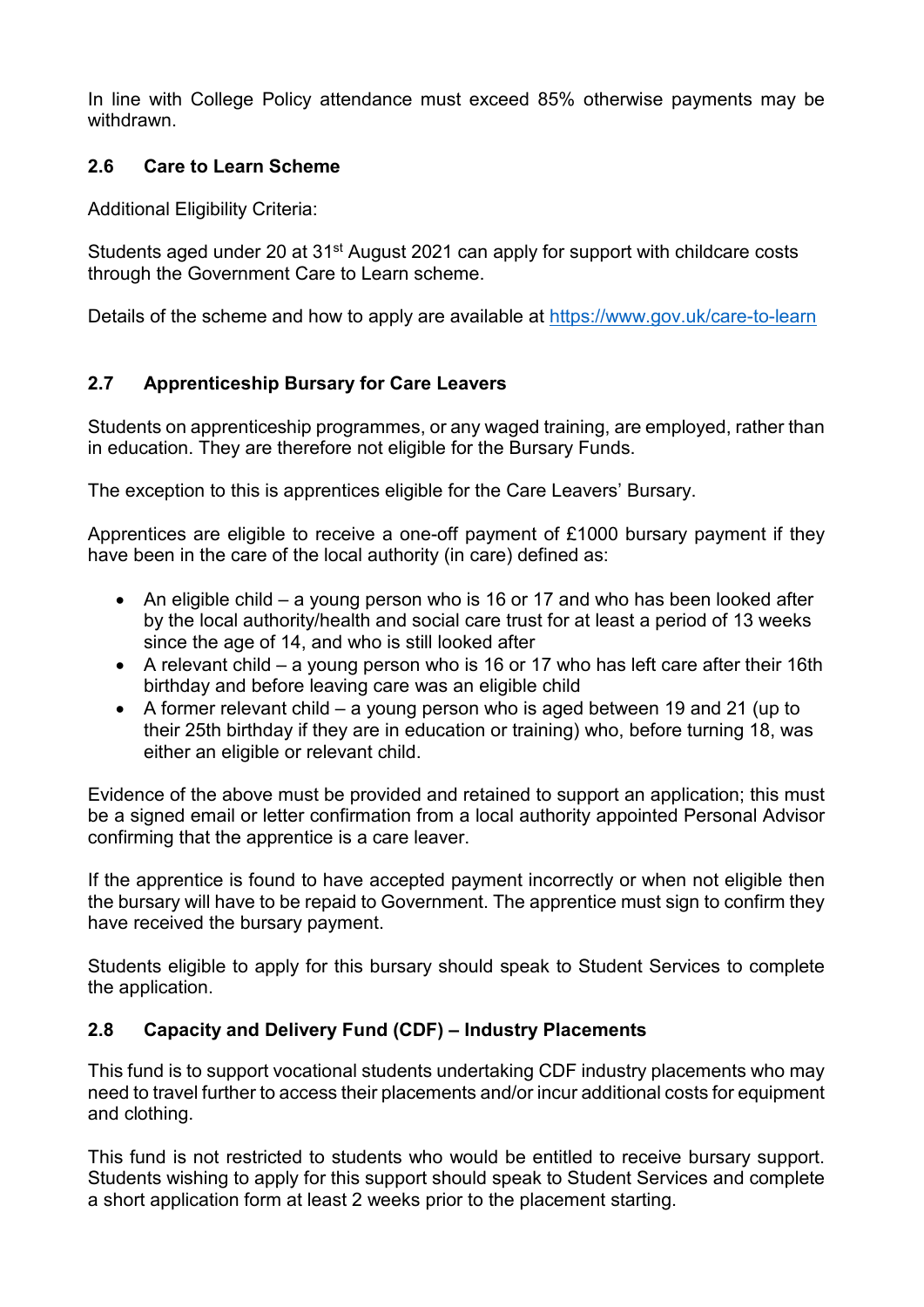In line with College Policy attendance must exceed 85% otherwise payments may be withdrawn.

## **2.6 Care to Learn Scheme**

Additional Eligibility Criteria:

Students aged under 20 at 31<sup>st</sup> August 2021 can apply for support with childcare costs through the Government Care to Learn scheme.

Details of the scheme and how to apply are available at<https://www.gov.uk/care-to-learn>

## **2.7 Apprenticeship Bursary for Care Leavers**

Students on apprenticeship programmes, or any waged training, are employed, rather than in education. They are therefore not eligible for the Bursary Funds.

The exception to this is apprentices eligible for the Care Leavers' Bursary.

Apprentices are eligible to receive a one-off payment of £1000 bursary payment if they have been in the care of the local authority (in care) defined as:

- An eligible child a young person who is 16 or 17 and who has been looked after by the local authority/health and social care trust for at least a period of 13 weeks since the age of 14, and who is still looked after
- A relevant child a young person who is 16 or 17 who has left care after their 16th birthday and before leaving care was an eligible child
- A former relevant child a young person who is aged between 19 and 21 (up to their 25th birthday if they are in education or training) who, before turning 18, was either an eligible or relevant child.

Evidence of the above must be provided and retained to support an application; this must be a signed email or letter confirmation from a local authority appointed Personal Advisor confirming that the apprentice is a care leaver.

If the apprentice is found to have accepted payment incorrectly or when not eligible then the bursary will have to be repaid to Government. The apprentice must sign to confirm they have received the bursary payment.

Students eligible to apply for this bursary should speak to Student Services to complete the application.

## **2.8 Capacity and Delivery Fund (CDF) – Industry Placements**

This fund is to support vocational students undertaking CDF industry placements who may need to travel further to access their placements and/or incur additional costs for equipment and clothing.

This fund is not restricted to students who would be entitled to receive bursary support. Students wishing to apply for this support should speak to Student Services and complete a short application form at least 2 weeks prior to the placement starting.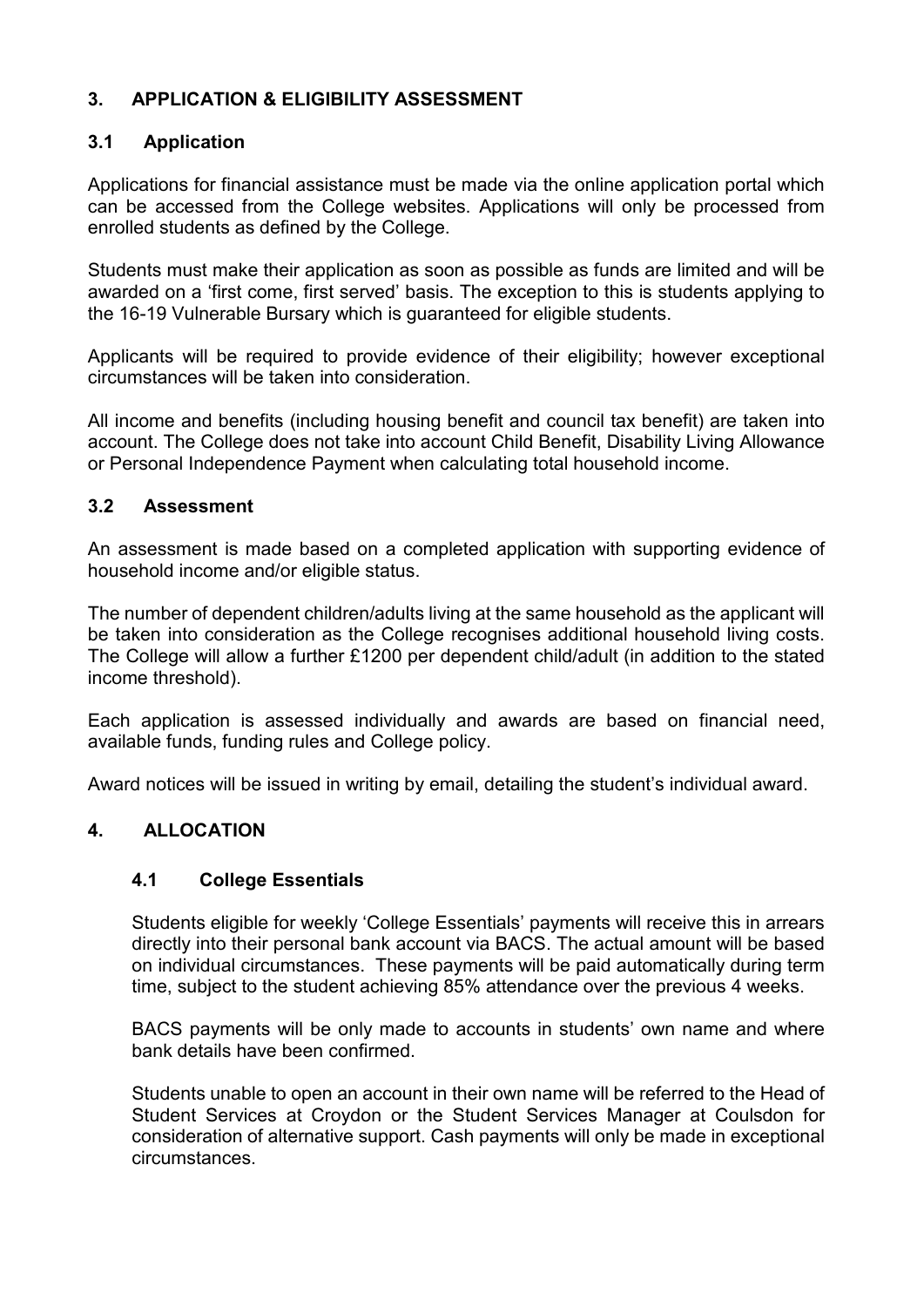## **3. APPLICATION & ELIGIBILITY ASSESSMENT**

### **3.1 Application**

Applications for financial assistance must be made via the online application portal which can be accessed from the College websites. Applications will only be processed from enrolled students as defined by the College.

Students must make their application as soon as possible as funds are limited and will be awarded on a 'first come, first served' basis. The exception to this is students applying to the 16-19 Vulnerable Bursary which is guaranteed for eligible students.

Applicants will be required to provide evidence of their eligibility; however exceptional circumstances will be taken into consideration.

All income and benefits (including housing benefit and council tax benefit) are taken into account. The College does not take into account Child Benefit, Disability Living Allowance or Personal Independence Payment when calculating total household income.

### **3.2 Assessment**

An assessment is made based on a completed application with supporting evidence of household income and/or eligible status.

The number of dependent children/adults living at the same household as the applicant will be taken into consideration as the College recognises additional household living costs. The College will allow a further £1200 per dependent child/adult (in addition to the stated income threshold).

Each application is assessed individually and awards are based on financial need, available funds, funding rules and College policy.

Award notices will be issued in writing by email, detailing the student's individual award.

## **4. ALLOCATION**

#### **4.1 College Essentials**

Students eligible for weekly 'College Essentials' payments will receive this in arrears directly into their personal bank account via BACS. The actual amount will be based on individual circumstances. These payments will be paid automatically during term time, subject to the student achieving 85% attendance over the previous 4 weeks.

BACS payments will be only made to accounts in students' own name and where bank details have been confirmed.

Students unable to open an account in their own name will be referred to the Head of Student Services at Croydon or the Student Services Manager at Coulsdon for consideration of alternative support. Cash payments will only be made in exceptional circumstances.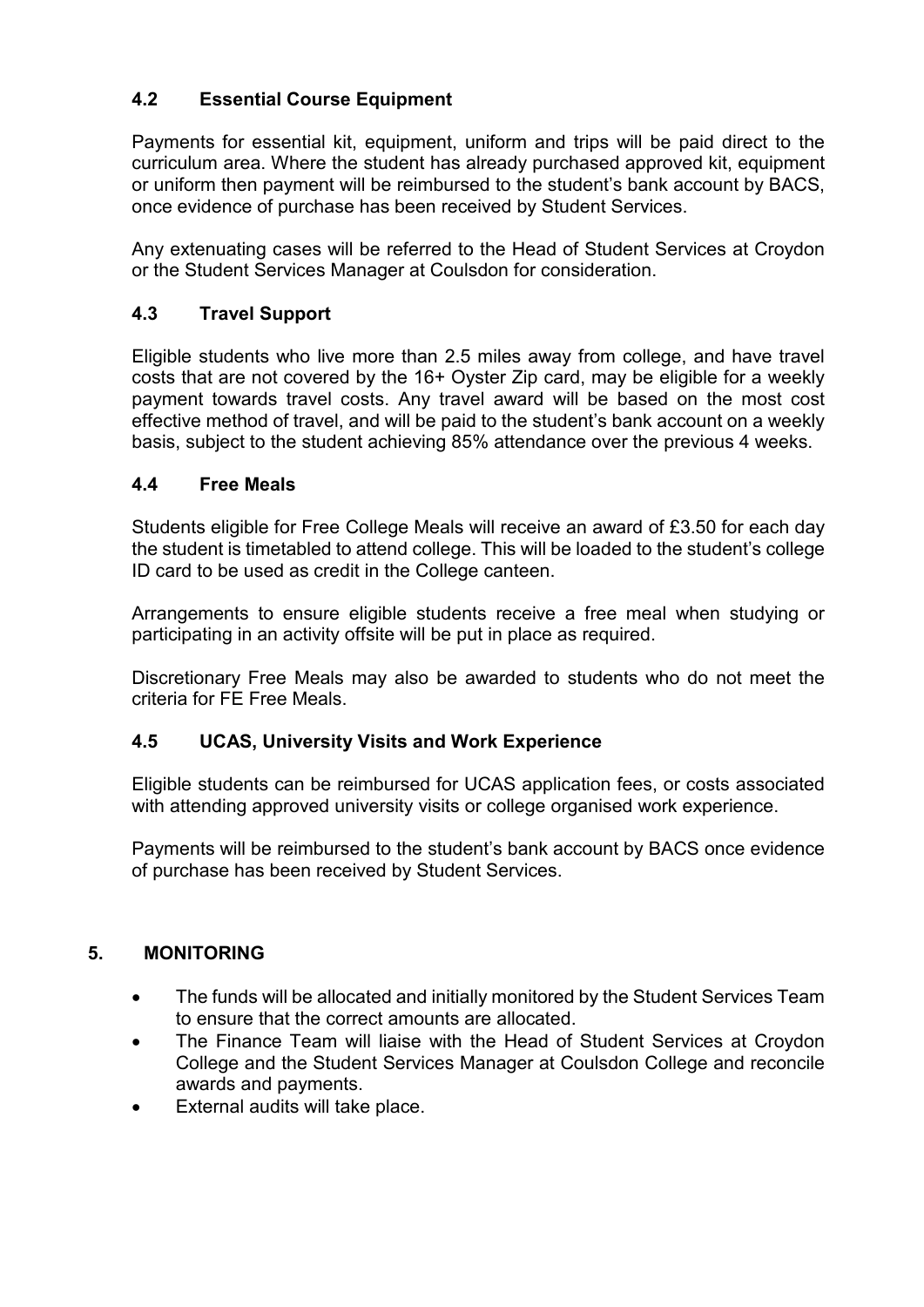## **4.2 Essential Course Equipment**

Payments for essential kit, equipment, uniform and trips will be paid direct to the curriculum area. Where the student has already purchased approved kit, equipment or uniform then payment will be reimbursed to the student's bank account by BACS, once evidence of purchase has been received by Student Services.

Any extenuating cases will be referred to the Head of Student Services at Croydon or the Student Services Manager at Coulsdon for consideration.

### **4.3 Travel Support**

Eligible students who live more than 2.5 miles away from college, and have travel costs that are not covered by the 16+ Oyster Zip card, may be eligible for a weekly payment towards travel costs. Any travel award will be based on the most cost effective method of travel, and will be paid to the student's bank account on a weekly basis, subject to the student achieving 85% attendance over the previous 4 weeks.

#### **4.4 Free Meals**

Students eligible for Free College Meals will receive an award of £3.50 for each day the student is timetabled to attend college. This will be loaded to the student's college ID card to be used as credit in the College canteen.

Arrangements to ensure eligible students receive a free meal when studying or participating in an activity offsite will be put in place as required.

Discretionary Free Meals may also be awarded to students who do not meet the criteria for FE Free Meals.

#### **4.5 UCAS, University Visits and Work Experience**

Eligible students can be reimbursed for UCAS application fees, or costs associated with attending approved university visits or college organised work experience.

Payments will be reimbursed to the student's bank account by BACS once evidence of purchase has been received by Student Services.

#### **5. MONITORING**

- The funds will be allocated and initially monitored by the Student Services Team to ensure that the correct amounts are allocated.
- The Finance Team will liaise with the Head of Student Services at Croydon College and the Student Services Manager at Coulsdon College and reconcile awards and payments.
- External audits will take place.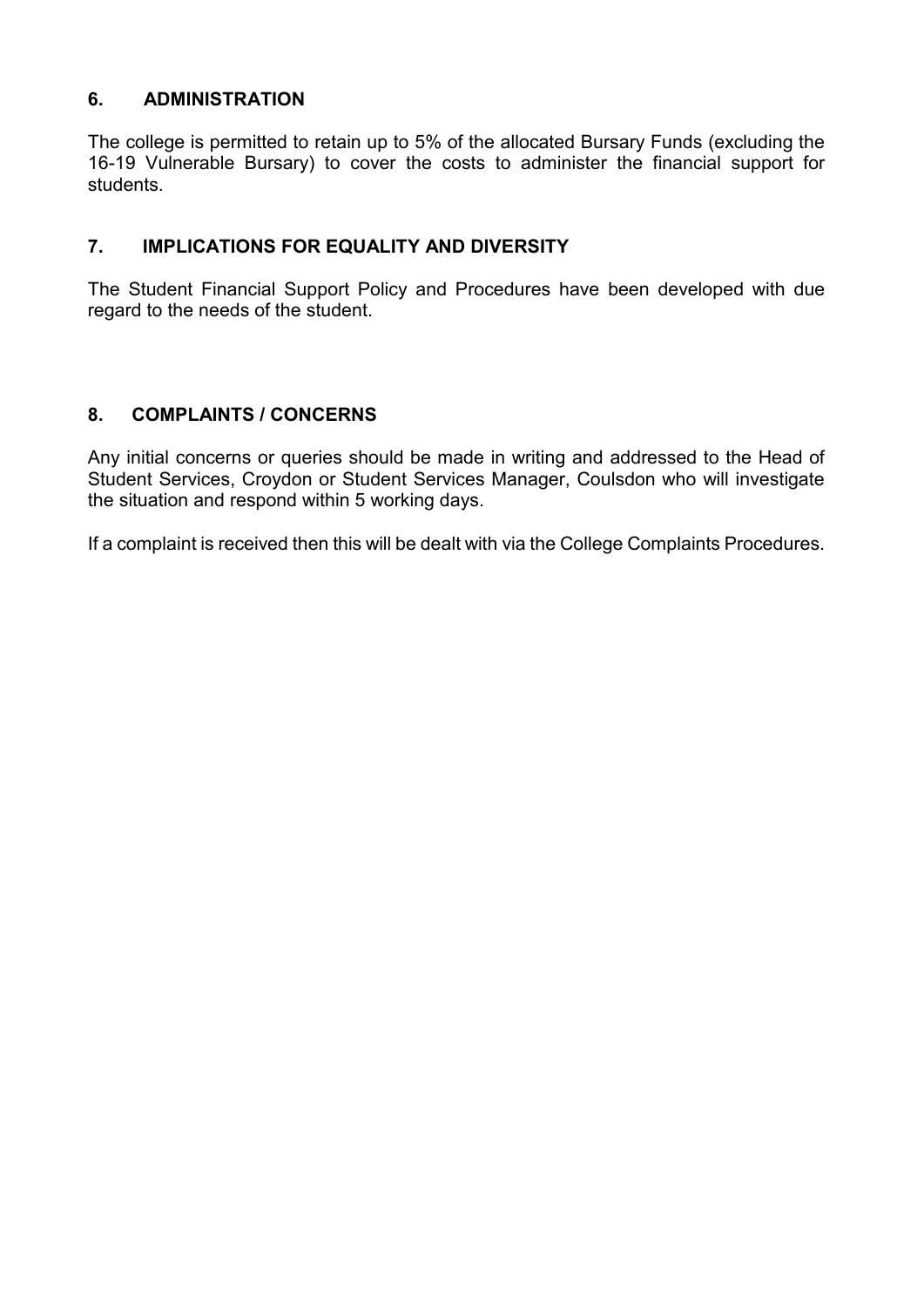### **6. ADMINISTRATION**

The college is permitted to retain up to 5% of the allocated Bursary Funds (excluding the 16-19 Vulnerable Bursary) to cover the costs to administer the financial support for students.

### **7. IMPLICATIONS FOR EQUALITY AND DIVERSITY**

The Student Financial Support Policy and Procedures have been developed with due regard to the needs of the student.

### **8. COMPLAINTS / CONCERNS**

Any initial concerns or queries should be made in writing and addressed to the Head of Student Services, Croydon or Student Services Manager, Coulsdon who will investigate the situation and respond within 5 working days.

If a complaint is received then this will be dealt with via the College Complaints Procedures.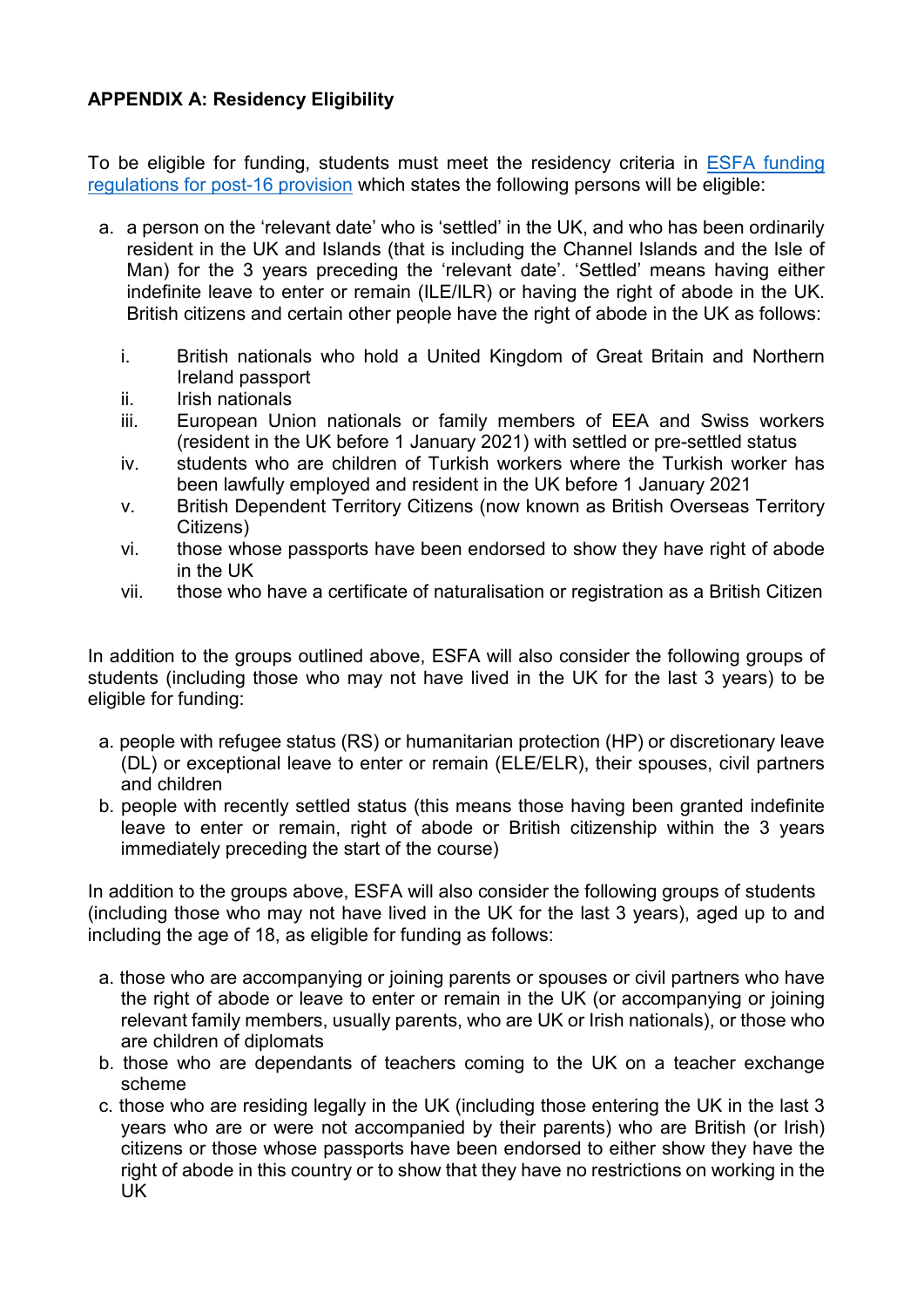## **APPENDIX A: Residency Eligibility**

To be eligible for funding, students must meet the residency criteria in [ESFA funding](https://www.gov.uk/government/publications/advice-funding-regulations-for-post-16-provision)  [regulations for post-16 provision](https://www.gov.uk/government/publications/advice-funding-regulations-for-post-16-provision) which states the following persons will be eligible:

- a. a person on the 'relevant date' who is 'settled' in the UK, and who has been ordinarily resident in the UK and Islands (that is including the Channel Islands and the Isle of Man) for the 3 years preceding the 'relevant date'. 'Settled' means having either indefinite leave to enter or remain (ILE/ILR) or having the right of abode in the UK. British citizens and certain other people have the right of abode in the UK as follows:
	- i. British nationals who hold a United Kingdom of Great Britain and Northern Ireland passport
	- ii. Irish nationals
	- iii. European Union nationals or family members of EEA and Swiss workers (resident in the UK before 1 January 2021) with settled or pre-settled status
	- iv. students who are children of Turkish workers where the Turkish worker has been lawfully employed and resident in the UK before 1 January 2021
	- v. British Dependent Territory Citizens (now known as British Overseas Territory Citizens)
	- vi. those whose passports have been endorsed to show they have right of abode in the UK
	- vii. those who have a certificate of naturalisation or registration as a British Citizen

In addition to the groups outlined above, ESFA will also consider the following groups of students (including those who may not have lived in the UK for the last 3 years) to be eligible for funding:

- a. people with refugee status (RS) or humanitarian protection (HP) or discretionary leave (DL) or exceptional leave to enter or remain (ELE/ELR), their spouses, civil partners and children
- b. people with recently settled status (this means those having been granted indefinite leave to enter or remain, right of abode or British citizenship within the 3 years immediately preceding the start of the course)

In addition to the groups above, ESFA will also consider the following groups of students (including those who may not have lived in the UK for the last 3 years), aged up to and including the age of 18, as eligible for funding as follows:

- a. those who are accompanying or joining parents or spouses or civil partners who have the right of abode or leave to enter or remain in the UK (or accompanying or joining relevant family members, usually parents, who are UK or Irish nationals), or those who are children of diplomats
- b. those who are dependants of teachers coming to the UK on a teacher exchange scheme
- c. those who are residing legally in the UK (including those entering the UK in the last 3 years who are or were not accompanied by their parents) who are British (or Irish) citizens or those whose passports have been endorsed to either show they have the right of abode in this country or to show that they have no restrictions on working in the UK